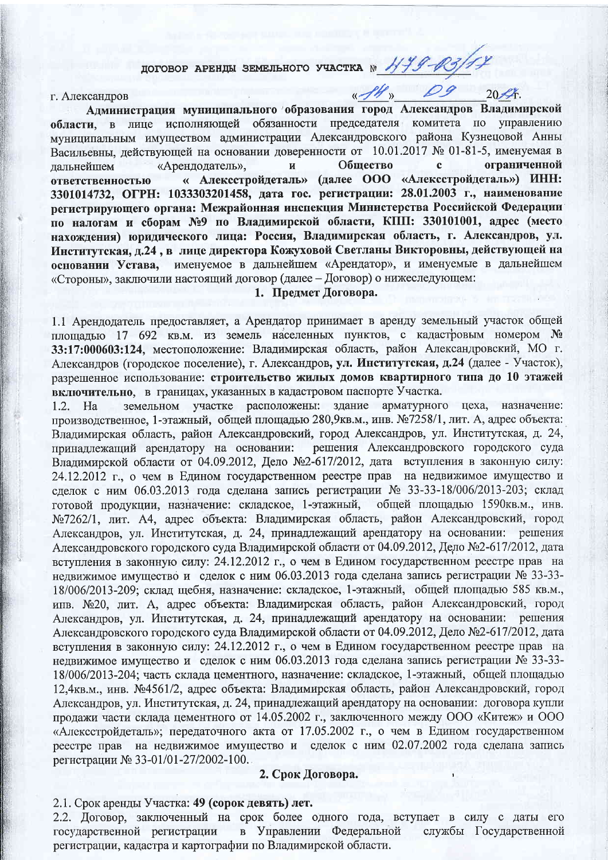# договор АРЕНДЫ ЗЕМЕЛЬНОГО УЧАСТКА № 1999-103/17

### г. Александров

Администрация муниципального образования город Александров Владимирской области, в лице исполняющей обязанности председателя комитета по управлению муниципальным имуществом администрации Александровского района Кузнецовой Анны Васильевны, действующей на основании доверенности от 10.01.2017 № 01-81-5, именуемая в «Арендодатель».  $\overline{M}$ Обшество  $\mathbf{c}$ ограниченной лальнейшем « Алексстройдеталь» (далее ООО «Алексстройдеталь») ИНН: ответственностью 3301014732, ОГРН: 1033303201458, дата гос. регистрации: 28.01.2003 г., наименование регистрирующего органа: Межрайонная инспекция Министерства Российской Федерации по налогам и сборам №9 по Владимирской области, КПП: 330101001, адрес (место нахождения) юридического лица: Россия, Владимирская область, г. Александров, ул. Институтская, д.24, в лице директора Кожуховой Светланы Викторовны, действующей на основании Устава, именуемое в дальнейшем «Арендатор», и именуемые в дальнейшем «Стороны», заключили настоящий договор (далее - Договор) о нижеследующем:

 $\n *fl*$   $\n *09*$ 

 $20\frac{2}{\pi}$ 

# 1. Предмет Договора.

1.1 Арендодатель предоставляет, а Арендатор принимает в аренду земельный участок общей плошалью 17 692 кв.м. из земель населенных пунктов, с кадастровым номером № 33:17:000603:124, местоположение: Владимирская область, район Александровский, МО г. Александров (городское поселение), г. Александров, ул. Институтская, д.24 (далее - Участок), разрешенное использование: строительство жилых домов квартирного типа до 10 этажей включительно, в границах, указанных в кадастровом паспорте Участка.

земельном участке расположены: здание арматурного цеха, назначение: 1.2. Ha производственное, 1-этажный, общей площадью 280,9кв.м., инв. №7258/1, лит. А, адрес объекта: Владимирская область, район Александровский, город Александров, ул. Институтская, д. 24, решения Александровского городского суда принадлежащий арендатору на основании: Владимирской области от 04.09.2012, Дело №2-617/2012, дата вступления в законную силу: 24.12.2012 г., о чем в Едином государственном реестре прав на недвижимое имущество и слелок с ним 06.03.2013 года сделана запись регистрации № 33-33-18/006/2013-203; склад готовой продукции, назначение: складское, 1-этажный, общей площадью 1590кв.м., инв. №7262/1, лит. А4, адрес объекта: Владимирская область, район Александровский, город Александров, ул. Институтская, д. 24, принадлежащий арендатору на основании: решения Александровского городского суда Владимирской области от 04.09.2012, Дело №2-617/2012, дата вступления в законную силу: 24.12.2012 г., о чем в Едином государственном реестре прав на недвижимое имущество и сделок с ним 06.03.2013 года сделана запись регистрации № 33-33-18/006/2013-209; склад щебня, назначение: складское, 1-этажный, общей площадью 585 кв.м., инв. №20, лит. А, адрес объекта: Владимирская область, район Александровский, город Александров, ул. Институтская, д. 24, принадлежащий арендатору на основании: решения Александровского городского суда Владимирской области от 04.09.2012, Дело №2-617/2012, дата вступления в законную силу: 24.12.2012 г., о чем в Едином государственном реестре прав на недвижимое имущество и сделок с ним 06.03.2013 года сделана запись регистрации № 33-33-18/006/2013-204; часть склада цементного, назначение: складское, 1-этажный, общей площадью 12.4кв.м., инв. №4561/2, адрес объекта: Владимирская область, район Александровский, город Александров, ул. Институтская, д. 24, принадлежащий арендатору на основании: договора купли продажи части склада цементного от 14.05.2002 г., заключенного между ООО «Китеж» и ООО «Алексстройдеталь»; передаточного акта от 17.05.2002 г., о чем в Едином государственном реестре прав на недвижимое имущество и сделок с ним 02.07.2002 года сделана запись регистрации № 33-01/01-27/2002-100.

## 2. Срок Договора.

2.1. Срок аренды Участка: 49 (сорок девять) лет.

2.2. Договор, заключенный на срок более одного года, вступает в силу с даты его в Управлении Федеральной службы Государственной государственной регистрации регистрации, кадастра и картографии по Владимирской области.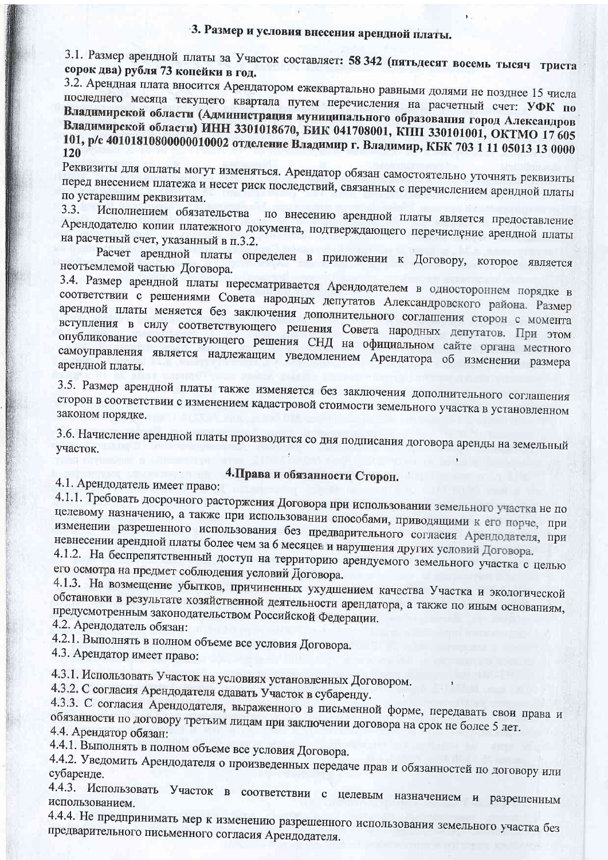# 3. Размер и условия внесения арендной платы.

3.1. Размер арендной платы за Участок составляет: 58 342 (пятьдесят восемь тысяч триста сорок два) рубля 73 конейки в год.

3.2. Арендная плата вносится Арендатором ежеквартально равными долями не позднее 15 числа последнего месяца текущего квартала путем перечисления на расчетный счет: УФК по Владимирской области (Администрация муниципального образования город Александров Владимирской области) ИНН 3301018670, БИК 041708001, КПП 330101001, ОКТМО 17 605 101, р/с 40101810800000010002 отделение Владимир г. Владимир, КБК 703 1 11 05013 13 0000 120

Реквизиты для оплаты могут изменяться. Арендатор обязан самостоятельно уточнять реквизиты перед внесением платежа и несет риск последствий, связанных с перечислением арендной платы по устаревшим реквизитам.

 $3.3.$ Исполнением обязательства по внесению арендной платы является предоставление Арендодателю копии платежного документа, подтверждающего перечисление арендной платы на расчетный счет, указанный в п.3.2.

Расчет арендной платы определен в приложении к Договору, которое является неотъемлемой частью Договора.

3.4. Размер арендной платы пересматривается Арендодателем в одностороннем порядке в соответствии с решениями Совета народных депутатов Александровского района. Размер арендной платы меняется без заключения дополнительного соглашения сторон с момента вступления в силу соответствующего решения Совета народных депутатов. При этом опубликование соответствующего решения СНД на официальном сайте органа местного самоуправления является надлежащим уведомлением Арендатора об изменении размера арендной платы.

3.5. Размер арендной платы также изменяется без заключения дополнительного соглашения сторон в соответствии с изменением кадастровой стоимости земельного участка в установленном законом порядке.

3.6. Начисление арендной платы производится со дня подписания договора аренды на земельный участок.

# 4. Права и обязанности Сторон.

4.1. Арендодатель имеет право:

4.1.1. Требовать досрочного расторжения Договора при использовании земельного участка не по целевому назначению, а также при использовании способами, приводящими к его порче, при изменении разрешенного использования без предварительного согласия Арендодателя, при невнесении арендной платы более чем за 6 месяцев и нарушения других условий Договора.

4.1.2. На беспрепятственный доступ на территорию арендуемого земельного участка с целью его осмотра на предмет соблюдения условий Договора.

4.1.3. На возмещение убытков, причиненных ухудшением качества Участка и экологической обстановки в результате хозяйственной деятельности арендатора, а также по иным основаниям, предусмотренным законодательством Российской Федерации.

4.2. Арендодатель обязан:

4.2.1. Выполнять в полном объеме все условия Договора.

4.3. Арендатор имеет право:

4.3.1. Использовать Участок на условиях установленных Договором.

4.3.2. С согласия Арендодателя сдавать Участок в субаренду.

4.3.3. С согласия Арендодателя, выраженного в письменной форме, передавать свои права и обязанности по договору третьим лицам при заключении договора на срок не более 5 лет. 4.4. Арендатор обязан:

4.4.1. Выполнять в полном объеме все условия Договора.

4.4.2. Уведомить Арендодателя о произведенных передаче прав и обязанностей по договору или

4.4.3. Использовать Участок в соответствии с целевым назначением и разрешенным использованием.

4.4.4. Не предпринимать мер к изменению разрешенного использования земельного участка без предварительного письменного согласия Арендодателя.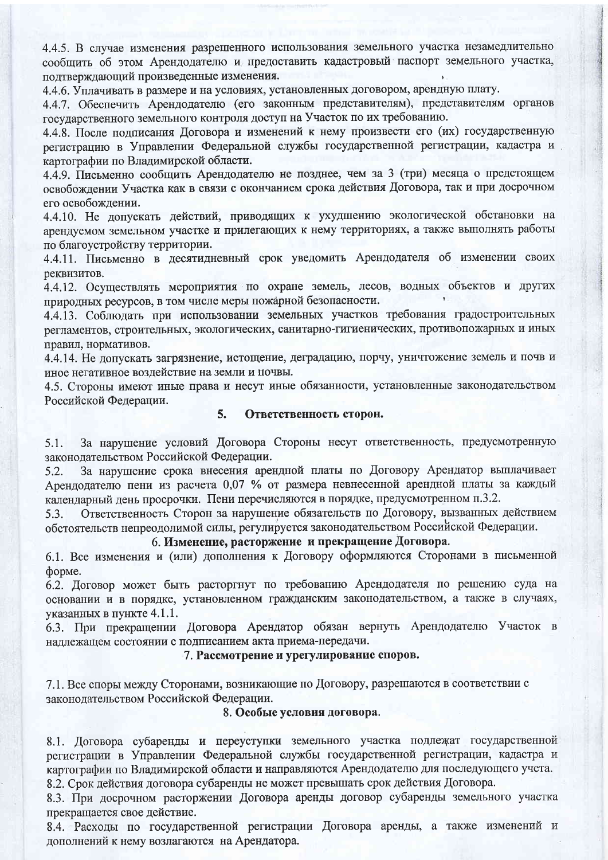4.4.5. В случае изменения разрешенного использования земельного участка незамедлительно сообщить об этом Арендодателю и предоставить кадастровый паспорт земельного участка, подтверждающий произведенные изменения.

4.4.6. Уплачивать в размере и на условиях, установленных договором, арендную плату.

4.4.7. Обеспечить Арендодателю (его законным представителям), представителям органов государственного земельного контроля доступ на Участок по их требованию.

4.4.8. После подписания Договора и изменений к нему произвести его (их) государственную регистрацию в Управлении Федеральной службы государственной регистрации, кадастра и картографии по Владимирской области.

4.4.9. Письменно сообщить Арендодателю не позднее, чем за 3 (три) месяца о предстоящем освобождении Участка как в связи с окончанием срока действия Договора, так и при досрочном его освобождении.

4.4.10. Не допускать действий, приводящих к ухудшению экологической обстановки на арендуемом земельном участке и прилегающих к нему территориях, а также выполнять работы по благоустройству территории.

4.4.11. Письменно в десятидневный срок уведомить Арендодателя об изменении своих реквизитов.

4.4.12. Осуществлять мероприятия по охране земель, лесов, водных объектов и других природных ресурсов, в том числе меры пожарной безопасности.

4.4.13. Соблюдать при использовании земельных участков требования градостроительных регламентов, строительных, экологических, санитарно-гигиенических, противопожарных и иных правил, нормативов.

4.4.14. Не лопускать загрязнение, истощение, деградацию, порчу, уничтожение земель и почв и иное негативное воздействие на земли и почвы.

4.5. Стороны имеют иные права и несут иные обязанности, установленные законодательством Российской Федерации.

#### $5.$ Ответственность сторон.

За нарушение условий Договора Стороны несут ответственность, предусмотренную  $5.1.$ законолательством Российской Федерации.

За нарушение срока внесения арендной платы по Договору Арендатор выплачивает  $5.2.$ Арендодателю пени из расчета 0,07 % от размера невнесенной арендной платы за каждый календарный день просрочки. Пени перечисляются в порядке, предусмотренном п.3.2.

Ответственность Сторон за нарушение обязательств по Договору, вызванных действием 5.3. обстоятельств непреодолимой силы, регулируется законодательством Российской Федерации.

## 6. Изменение, расторжение и прекращение Договора.

6.1. Все изменения и (или) дополнения к Договору оформляются Сторонами в письменной форме.

6.2. Договор может быть расторгнут по требованию Арендодателя по решению суда на основании и в порядке, установленном гражданским законодательством, а также в случаях, указанных в пункте 4.1.1.

6.3. При прекращении Договора Арендатор обязан вернуть Арендодателю Участок в надлежащем состоянии с подписанием акта приема-передачи.

# 7. Рассмотрение и урегулирование споров.

7.1. Все споры между Сторонами, возникающие по Договору, разрешаются в соответствии с законодательством Российской Федерации.

# 8. Особые условия договора.

8.1. Договора субаренды и переуступки земельного участка подлежат государственной регистрации в Управлении Федеральной службы государственной регистрации, кадастра и картографии по Владимирской области и направляются Арендодателю для последующего учета. 8.2. Срок действия договора субаренды не может превышать срок действия Договора.

8.3. При досрочном расторжении Договора аренды договор субаренды земельного участка прекращается свое действие.

8.4. Расходы по государственной регистрации Договора аренды, а также изменений и дополнений к нему возлагаются на Арендатора.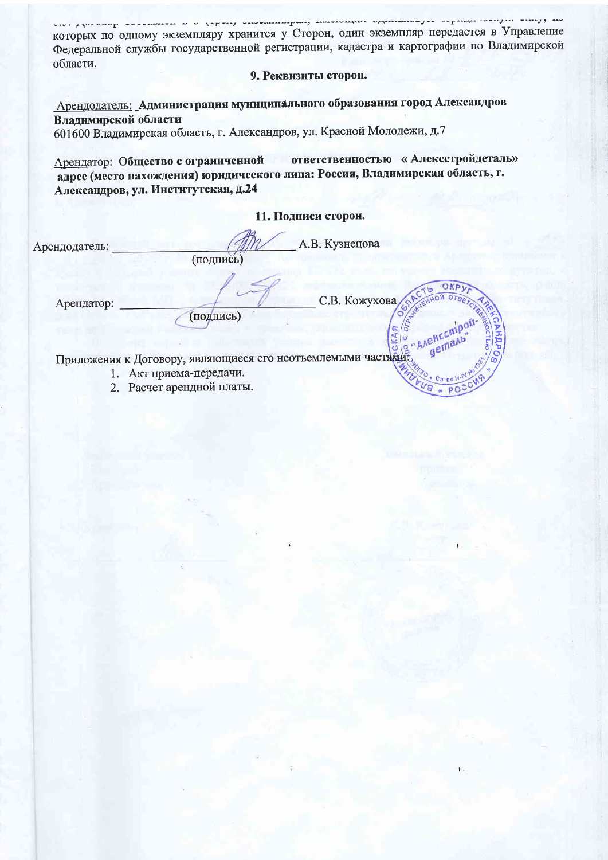|                      | которых по одному экземпляру хранится у Сторон, один экземпляр передается в Управление                                                                                                           |
|----------------------|--------------------------------------------------------------------------------------------------------------------------------------------------------------------------------------------------|
|                      | Федеральной службы государственной регистрации, кадастра и картографии по Владимирской                                                                                                           |
| области.             |                                                                                                                                                                                                  |
|                      | 9. Реквизиты сторон.                                                                                                                                                                             |
|                      | Арендодатель: Администрация муниципального образования город Александров                                                                                                                         |
| Владимирской области |                                                                                                                                                                                                  |
|                      | 601600 Владимирская область, г. Александров, ул. Красной Молодежи, д.7                                                                                                                           |
|                      | ответственностью «Алексстройдеталь»<br>Арендатор: Общество с ограниченной<br>адрес (место нахождения) юридического лица: Россия, Владимирская область, г.<br>Александров, ул. Институтская, д.24 |
|                      | 11. Подписи сторон.                                                                                                                                                                              |
| Арендодатель:        | А.В. Кузнецова<br>(подпись)                                                                                                                                                                      |
| Арендатор:           | С.В. Кожухова<br>(подпись)                                                                                                                                                                       |
|                      | "AAEKC<br>Приложения к Договору, являющиеся его неотъемлемыми частями                                                                                                                            |
|                      | 1. Акт приема-передачи.                                                                                                                                                                          |
|                      | $\cdot$ C <sub>B</sub> -BO H <sup>-1</sup><br>Расчет арендной платы.<br><b>Ug</b>                                                                                                                |
|                      |                                                                                                                                                                                                  |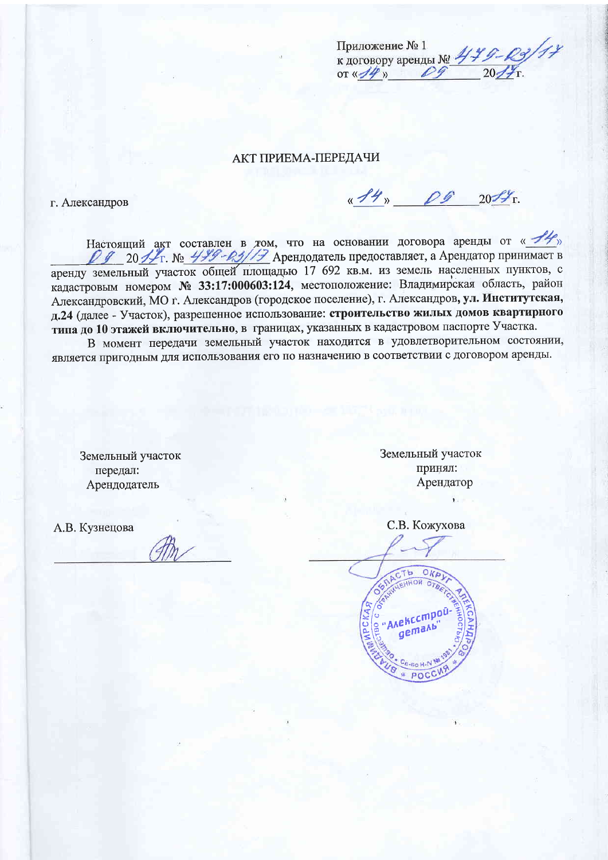| Приложение № 1          |  |
|-------------------------|--|
| к договору аренды № 47. |  |
| or 4/4                  |  |

**АКТ ПРИЕМА-ПЕРЕДАЧИ** 

г. Александров

<u>«14» 00 2017</u>

Настоящий акт составлен в том, что на основании договора аренды от «Не» 20 1 Г. № 449-03/17 Арендодатель предоставляет, а Арендатор принимает в аренду земельный участок общей площадью 17 692 кв.м. из земель населенных пунктов, с кадастровым номером № 33:17:000603:124, местоположение: Владимирская область, район Александровский, МО г. Александров (городское поселение), г. Александров, ул. Институтская, д.24 (далее - Участок), разрешенное использование: строительство жилых домов квартирного типа до 10 этажей включительно, в границах, указанных в кадастровом паспорте Участка.

В момент передачи земельный участок находится в удовлетворительном состоянии, является пригодным для использования его по назначению в соответствии с договором аренды.

Земельный участок передал: Арендодатель

А.В. Кузнецова

Земельный участок принял: Арендатор

С.В. Кожухова

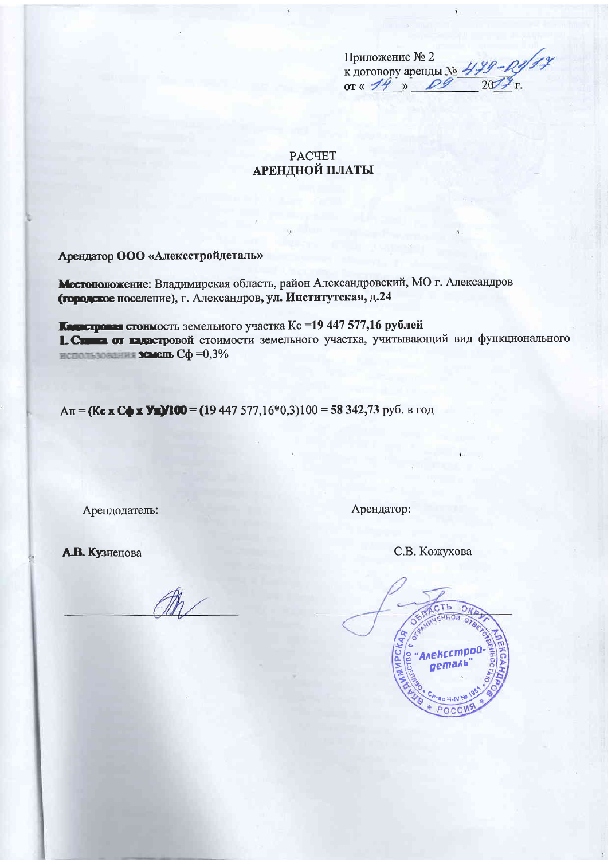| Приложение № 2          |  |
|-------------------------|--|
| к договору аренды № 449 |  |
| OT $\frac{1}{4}$        |  |

# **PACYET АРЕНДНОЙ ПЛАТЫ**

Арендатор ООО «Алексстройдеталь»

Местоположение: Владимирская область, район Александровский, МО г. Александров (городское поселение), г. Александров, ул. Институтская, д.24

Карастровая стоимость земельного участка Кс =19 447 577,16 рублей 1. Стания от кадастровой стоимости земельного участка, учитывающий вид функционального использования земель  $C\phi = 0.3\%$ 

An = (Kc x C + x Y=)/100 = (19 447 577,16\*0,3)100 = 58 342,73 руб. в год

Арендодатель:

Арендатор:

А.В. Кузнецова



С.В. Кожухова